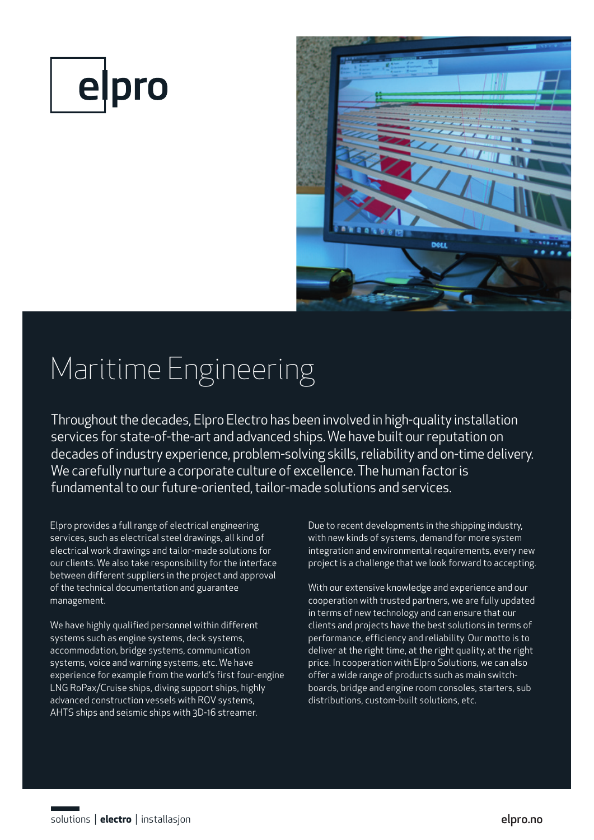



## Maritime Engineering

Throughout the decades, Elpro Electro has been involved in high-quality installation services for state-of-the-art and advanced ships. We have built our reputation on decades of industry experience, problem-solving skills, reliability and on-time delivery. We carefully nurture a corporate culture of excellence. The human factor is fundamental to our future-oriented, tailor-made solutions and services.

Elpro provides a full range of electrical engineering services, such as electrical steel drawings, all kind of electrical work drawings and tailor-made solutions for our clients. We also take responsibility for the interface between different suppliers in the project and approval of the technical documentation and guarantee management.

We have highly qualified personnel within different systems such as engine systems, deck systems, accommodation, bridge systems, communication systems, voice and warning systems, etc. We have experience for example from the world's first four-engine LNG RoPax/Cruise ships, diving support ships, highly advanced construction vessels with ROV systems, AHTS ships and seismic ships with 3D-16 streamer.

Due to recent developments in the shipping industry, with new kinds of systems, demand for more system integration and environmental requirements, every new project is a challenge that we look forward to accepting.

With our extensive knowledge and experience and our cooperation with trusted partners, we are fully updated in terms of new technology and can ensure that our clients and projects have the best solutions in terms of performance, efficiency and reliability. Our motto is to deliver at the right time, at the right quality, at the right price. In cooperation with Elpro Solutions, we can also offer a wide range of products such as main switchboards, bridge and engine room consoles, starters, sub distributions, custom-built solutions, etc.